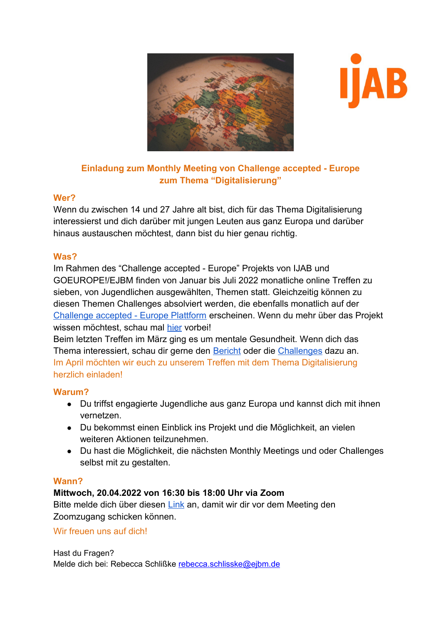



# **Einladung zum Monthly Meeting von Challenge accepted - Europe zum Thema "Digitalisierung"**

## **Wer?**

Wenn du zwischen 14 und 27 Jahre alt bist, dich für das Thema Digitalisierung interessierst und dich darüber mit jungen Leuten aus ganz Europa und darüber hinaus austauschen möchtest, dann bist du hier genau richtig.

## **Was?**

Im Rahmen des "Challenge accepted - Europe" Projekts von IJAB und GOEUROPE!/EJBM finden von Januar bis Juli 2022 monatliche online Treffen zu sieben, von Jugendlichen ausgewählten, Themen statt. Gleichzeitig können zu diesen Themen Challenges absolviert werden, die ebenfalls monatlich auf der [Challenge accepted - Europe Plattform](http://www.youthchallenge.eu/) erscheinen. Wenn du mehr über das Projekt wissen möchtest, schau mal [hier](https://ijab.de/aktuelle-beitraege-zu-challenge-accepted-europe/was-bisher-geschah) vorbei!

Beim letzten Treffen im März ging es um mentale Gesundheit. Wenn dich das Thema interessiert, schau dir gerne den [Bericht](https://ijab.de/aktuelle-beitraege-zu-challenge-accepted-europe/wir-muessen-offen-ueber-psychische-gesundheit-sprechen) oder die [Challenges](https://youthchallenge.eu/de/activities/13601) dazu an. Im April möchten wir euch zu unserem Treffen mit dem Thema Digitalisierung herzlich einladen!

## **Warum?**

- Du triffst engagierte Jugendliche aus ganz Europa und kannst dich mit ihnen vernetzen.
- Du bekommst einen Einblick ins Projekt und die Möglichkeit, an vielen weiteren Aktionen teilzunehmen.
- Du hast die Möglichkeit, die nächsten Monthly Meetings und oder Challenges selbst mit zu gestalten.

## **Wann?**

## **Mittwoch, 20.04.2022 von 16:30 bis 18:00 Uhr via Zoom**

Bitte melde dich über diesen [Link](https://forms.gle/RF98sRviiLagjQJk9) an, damit wir dir vor dem Meeting den Zoomzugang schicken können.

## Wir freuen uns auf dich!

Hast du Fragen? Melde dich bei: Rebecca Schlißke [rebecca.schlisske@ejbm.de](mailto:rebecca.schlisske@ejbm.de)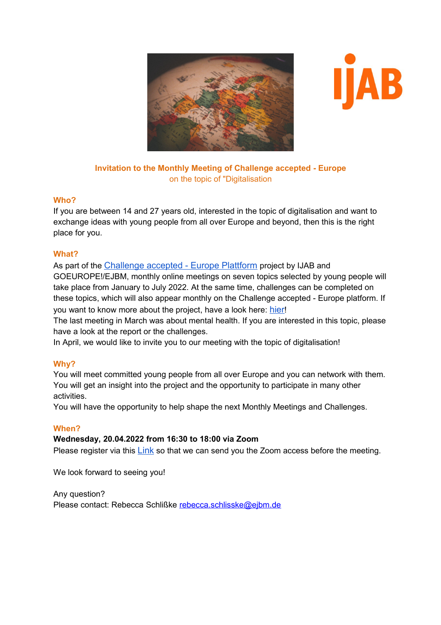



#### **Invitation to the Monthly Meeting of Challenge accepted - Europe** on the topic of "Digitalisation

#### **Who?**

If you are between 14 and 27 years old, interested in the topic of digitalisation and want to exchange ideas with young people from all over Europe and beyond, then this is the right place for you.

## **What?**

As part of the [Challenge accepted - Europe Plattform](http://www.youthchallenge.eu/) project by IJAB and GOEUROPE!/EJBM, monthly online meetings on seven topics selected by young people will take place from January to July 2022. At the same time, challenges can be completed on these topics, which will also appear monthly on the Challenge accepted - Europe platform. If you want to know more about the project, have a look here: [hier](https://ijab.de/aktuelle-beitraege-zu-challenge-accepted-europe/was-bisher-geschah)!

The last meeting in March was about mental health. If you are interested in this topic, please have a look at the report or the challenges.

In April, we would like to invite you to our meeting with the topic of digitalisation!

## **Why?**

You will meet committed young people from all over Europe and you can network with them. You will get an insight into the project and the opportunity to participate in many other activities.

You will have the opportunity to help shape the next Monthly Meetings and Challenges.

## **When?**

#### **Wednesday, 20.04.2022 from 16:30 to 18:00 via Zoom**

Please register via this [Link](https://forms.gle/RF98sRviiLagjQJk9) so that we can send you the Zoom access before the meeting.

We look forward to seeing you!

Any question? Please contact: Rebecca Schlißke [rebecca.schlisske@ejbm.de](mailto:rebecca.schlisske@ejbm.de)